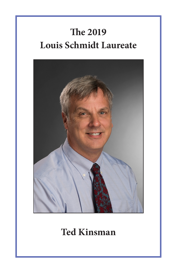# **The 2019 Louis Schmidt Laureate**



#### **Ted Kinsman**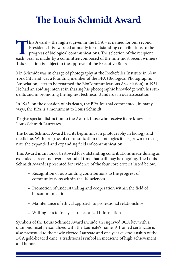## **The Louis Schmidt Award**

This Award – the highest given in the BCA – is named for our second President. It is awarded annually for outstanding contributions to the progress of biological communications. The selection of the recipient each year is made by a committee composed of the nine most recent winners. This selection is subject to the approval of the Executive Board.

Mr. Schmidt was in charge of photography at the Rockefeller Institute in New York City and was a founding member of the BPA (Biological Photographic Association, later to be renamed the BioCommunications Association) in 1931. He had an abiding interest in sharing his photographic knowledge with his students and in promoting the highest technical standards in our association.

In 1943, on the occasion of his death, the BPA Journal commented, in many ways, the BPA is a monument to Louis Schmidt.

To give special distinction to the Award, those who receive it are known as Louis Schmidt Laureates.

The Louis Schmidt Award had its beginnings in photography in biology and medicine. With progress of communication technologies it has grown to recognize the expanded and expanding fields of communication.

This Award is an honor bestowed for outstanding contributions made during an extended career and over a period of time that still may be ongoing. The Louis Schmidt Award is presented for evidence of the four core criteria listed below:

- Recognition of outstanding contributions to the progress of communications within the life sciences
- Promotion of understanding and cooperation within the field of biocommunication
- Maintenance of ethical approach to professional relationships
- Willingness to freely share technical information

Symbols of the Louis Schmidt Award include an engraved BCA key with a diamond inset personalized with the Laureate's name. A framed certificate is also presented to the newly elected Laureate and one year custodianship of the BCA gold-headed cane, a traditional symbol in medicine of high achievement and honor.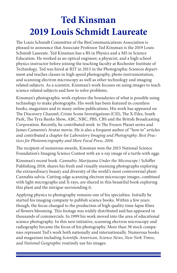## **Ted Kinsman 2019 Louis Schmidt Laureate**

The Louis Schmidt Committee of the BioCommunications Association is pleased to announce that Associate Professor Ted Kinsman is the 2019 Louis Schmidt Laureate. Ted Kinsman has a BS in Physics and a MS in Science Education. He worked as an optical engineer, a physicist, and a high school physics instructor before joining the teaching faculty at Rochester Institute of Technology. Ted was hired at RIT in 2013 in the Photographic Sciences department and teaches classes in high speed photography, photo instrumentation, and scanning electron microscopy as well as other technology and imaging related subjects. As a scientist, Kinsman's work focuses on using images to teach science related subjects and how to solve problems.

Kinsman's photographic work explores the boundaries of what is possible using technology to make photographs. His work has been featured in countless books, magazines and in many online publications. His work has appeared on The Discovery Channel, Crime Scene Investigations (CSI), The X-Files, South Park, The Tyra Banks Show, ABC, NBC, PBS, CBS and the British Broadcasting Corporation. Recently, he contributed work to The Frozen Planet series and James Cameron's Avatar movie. He is also a frequent author of "how to" articles and contributed a chapter for *Laboratory Imaging and Photography: Best Practices for Photomicrography and More Focal Press, 2016*.

The recipient of numerous awards, Kinsman won the 2015 National Science Foundation's Imaging Science Contest with an x-ray image of a turtle with eggs.

Kinsman's recent book *Cannabis: Marijuana Under the Microscope* / Schiffer Publishing 2018, shares his fresh and visually stunning photographs exploring the extraordinary beauty and diversity of the world's most controversial plant: Cannabis salvia. Cutting-edge scanning electron microscope images, combined with light micrographs and X-rays, are shared in this beautiful book exploring this plant and the intrigue surrounding it.

Applying physics to photography remains one of his specialties. Initially he started his imaging company to publish science books. Within a few years though, the focus changed to the production of high quality time-lapse films of flowers blooming. This footage was widely distributed and has appeared in thousands of commercials. In 1999 his work moved into the area of educational science photography. In this new initiative, scanning electron microscopy and radiography became the focus of his photography. More than 38 stock companies represent Ted's work both nationally and internationally. Numerous books and magazines including *Scientific American*, *Science News*, *New York Times*, and *National Geographic* routinely use his images.